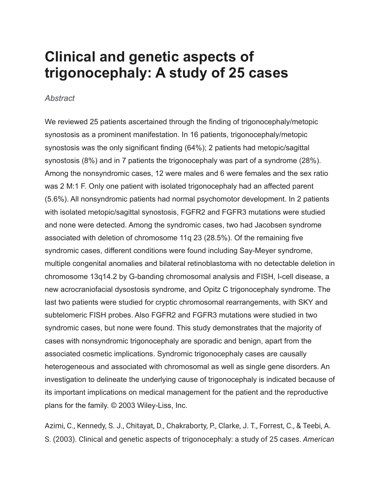## **Clinical and genetic aspects of trigonocephaly: A study of 25 cases**

## *Abstract*

We reviewed 25 patients ascertained through the finding of trigonocephaly/metopic synostosis as a prominent manifestation. In 16 patients, trigonocephaly/metopic synostosis was the only significant finding (64%); 2 patients had metopic/sagittal synostosis (8%) and in 7 patients the trigonocephaly was part of a syndrome (28%). Among the nonsyndromic cases, 12 were males and 6 were females and the sex ratio was 2 M:1 F. Only one patient with isolated trigonocephaly had an affected parent (5.6%). All nonsyndromic patients had normal psychomotor development. In 2 patients with isolated metopic/sagittal synostosis, FGFR2 and FGFR3 mutations were studied and none were detected. Among the syndromic cases, two had Jacobsen syndrome associated with deletion of chromosome 11q 23 (28.5%). Of the remaining five syndromic cases, different conditions were found including Say-Meyer syndrome, multiple congenital anomalies and bilateral retinoblastoma with no detectable deletion in chromosome 13q14.2 by G-banding chromosomal analysis and FISH, I-cell disease, a new acrocraniofacial dysostosis syndrome, and Opitz C trigonocephaly syndrome. The last two patients were studied for cryptic chromosomal rearrangements, with SKY and subtelomeric FISH probes. Also FGFR2 and FGFR3 mutations were studied in two syndromic cases, but none were found. This study demonstrates that the majority of cases with nonsyndromic trigonocephaly are sporadic and benign, apart from the associated cosmetic implications. Syndromic trigonocephaly cases are causally heterogeneous and associated with chromosomal as well as single gene disorders. An investigation to delineate the underlying cause of trigonocephaly is indicated because of its important implications on medical management for the patient and the reproductive plans for the family. © 2003 Wiley-Liss, Inc.

Azimi, C., Kennedy, S. J., Chitayat, D., Chakraborty, P., Clarke, J. T., Forrest, C., & Teebi, A. S. (2003). Clinical and genetic aspects of trigonocephaly: a study of 25 cases. *American*